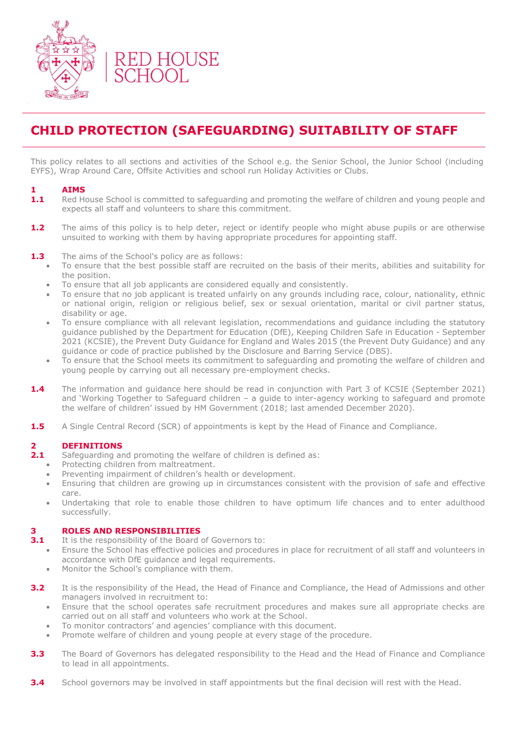

# **CHILD PROTECTION (SAFEGUARDING) SUITABILITY OF STAFF**

This policy relates to all sections and activities of the School e.g. the Senior School, the Junior School (including EYFS), Wrap Around Care, Offsite Activities and school run Holiday Activities or Clubs.

# **1 AIMS**

- **1.1** Red House School is committed to safeguarding and promoting the welfare of children and young people and expects all staff and volunteers to share this commitment.
- **1.2** The aims of this policy is to help deter, reject or identify people who might abuse pupils or are otherwise unsuited to working with them by having appropriate procedures for appointing staff.
- **1.3** The aims of the School's policy are as follows:
	- To ensure that the best possible staff are recruited on the basis of their merits, abilities and suitability for the position.
	- To ensure that all job applicants are considered equally and consistently.
	- To ensure that no job applicant is treated unfairly on any grounds including race, colour, nationality, ethnic or national origin, religion or religious belief, sex or sexual orientation, marital or civil partner status, disability or age.
	- To ensure compliance with all relevant legislation, recommendations and guidance including the statutory guidance published by the Department for Education (DfE), Keeping Children Safe in Education - September 2021 (KCSIE), the Prevent Duty Guidance for England and Wales 2015 (the Prevent Duty Guidance) and any guidance or code of practice published by the Disclosure and Barring Service (DBS).
	- To ensure that the School meets its commitment to safeguarding and promoting the welfare of children and young people by carrying out all necessary pre-employment checks.
- **1.4** The information and guidance here should be read in conjunction with Part 3 of KCSIE (September 2021) and 'Working Together to Safeguard children – a guide to inter-agency working to safeguard and promote the welfare of children' issued by HM Government (2018; last amended December 2020).
- **1.5** A Single Central Record (SCR) of appointments is kept by the Head of Finance and Compliance.

# **2.1 DEFINITIONS**<br>**2.1** Safequarding ar

- **2.1** Safeguarding and promoting the welfare of children is defined as:
	- Protecting children from maltreatment.
	- Preventing impairment of children's health or development.
	- Ensuring that children are growing up in circumstances consistent with the provision of safe and effective care.
	- Undertaking that role to enable those children to have optimum life chances and to enter adulthood successfully.

#### **3 ROLES AND RESPONSIBILITIES**

- **3.1** It is the responsibility of the Board of Governors to:
	- Ensure the School has effective policies and procedures in place for recruitment of all staff and volunteers in accordance with DfE guidance and legal requirements.
	- Monitor the School's compliance with them.
- **3.2** It is the responsibility of the Head, the Head of Finance and Compliance, the Head of Admissions and other managers involved in recruitment to:
	- Ensure that the school operates safe recruitment procedures and makes sure all appropriate checks are carried out on all staff and volunteers who work at the School.
	- To monitor contractors' and agencies' compliance with this document.
	- Promote welfare of children and young people at every stage of the procedure.
- **3.3** The Board of Governors has delegated responsibility to the Head and the Head of Finance and Compliance to lead in all appointments.
- **3.4** School governors may be involved in staff appointments but the final decision will rest with the Head.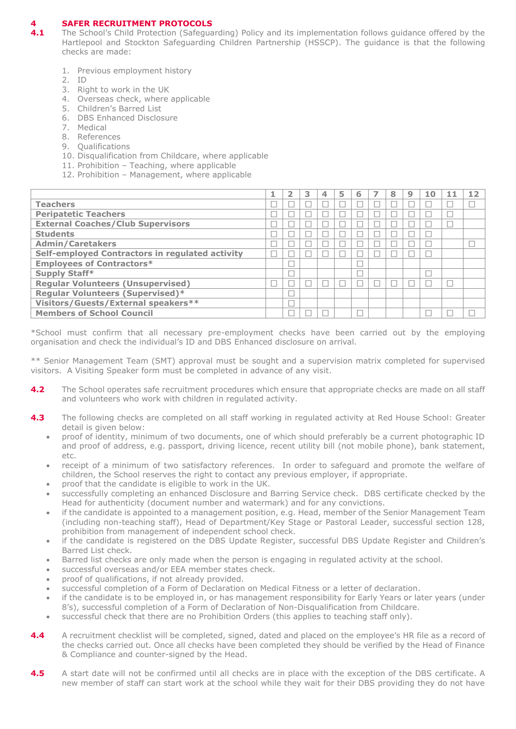# **4 SAFER RECRUITMENT PROTOCOLS**

- **4.1** The School's Child Protection (Safeguarding) Policy and its implementation follows guidance offered by the Hartlepool and Stockton Safeguarding Children Partnership (HSSCP). The guidance is that the following checks are made:
	- 1. Previous employment history
	- 2. ID
	- 3. Right to work in the UK
	- 4. Overseas check, where applicable
	- 5. Children's Barred List
	- 6. DBS Enhanced Disclosure
	- 7. Medical
	- 8. References
	- 9. Qualifications
	- 10. Disqualification from Childcare, where applicable
	- 11. Prohibition Teaching, where applicable
	- 12. Prohibition Management, where applicable

|                                                 |  | 3 | 5 | 6 | 8 | 9 | 10 | 12 |
|-------------------------------------------------|--|---|---|---|---|---|----|----|
| <b>Teachers</b>                                 |  |   |   |   |   |   |    |    |
| <b>Peripatetic Teachers</b>                     |  |   |   |   |   |   |    |    |
| <b>External Coaches/Club Supervisors</b>        |  |   |   |   |   |   |    |    |
| <b>Students</b>                                 |  |   |   |   |   |   |    |    |
| <b>Admin/Caretakers</b>                         |  |   |   |   |   |   |    |    |
| Self-employed Contractors in regulated activity |  |   |   |   |   |   |    |    |
| <b>Employees of Contractors*</b>                |  |   |   |   |   |   |    |    |
| Supply Staff*                                   |  |   |   |   |   |   |    |    |
| <b>Regular Volunteers (Unsupervised)</b>        |  |   |   |   |   |   |    |    |
| <b>Regular Volunteers (Supervised)*</b>         |  |   |   |   |   |   |    |    |
| Visitors/Guests/External speakers**             |  |   |   |   |   |   |    |    |
| <b>Members of School Council</b>                |  |   |   |   |   |   |    |    |

\*School must confirm that all necessary pre-employment checks have been carried out by the employing organisation and check the individual's ID and DBS Enhanced disclosure on arrival.

\*\* Senior Management Team (SMT) approval must be sought and a supervision matrix completed for supervised visitors. A Visiting Speaker form must be completed in advance of any visit.

- **4.2** The School operates safe recruitment procedures which ensure that appropriate checks are made on all staff and volunteers who work with children in regulated activity.
- **4.3** The following checks are completed on all staff working in regulated activity at Red House School: Greater detail is given below:
	- proof of identity, minimum of two documents, one of which should preferably be a current photographic ID and proof of address, e.g. passport, driving licence, recent utility bill (not mobile phone), bank statement, etc.
	- receipt of a minimum of two satisfactory references. In order to safeguard and promote the welfare of children, the School reserves the right to contact any previous employer, if appropriate.
	- proof that the candidate is eligible to work in the UK.
	- successfully completing an enhanced Disclosure and Barring Service check. DBS certificate checked by the Head for authenticity (document number and watermark) and for any convictions.
	- if the candidate is appointed to a management position, e.g. Head, member of the Senior Management Team (including non-teaching staff), Head of Department/Key Stage or Pastoral Leader, successful section 128, prohibition from management of independent school check.
	- if the candidate is registered on the DBS Update Register, successful DBS Update Register and Children's Barred List check.
	- Barred list checks are only made when the person is engaging in regulated activity at the school.
	- successful overseas and/or EEA member states check.
	- proof of qualifications, if not already provided.
	- successful completion of a Form of Declaration on Medical Fitness or a letter of declaration.
	- if the candidate is to be employed in, or has management responsibility for Early Years or later years (under 8's), successful completion of a Form of Declaration of Non-Disqualification from Childcare.
	- successful check that there are no Prohibition Orders (this applies to teaching staff only).
- **4.4** A recruitment checklist will be completed, signed, dated and placed on the employee's HR file as a record of the checks carried out. Once all checks have been completed they should be verified by the Head of Finance & Compliance and counter-signed by the Head.
- **4.5** A start date will not be confirmed until all checks are in place with the exception of the DBS certificate. A new member of staff can start work at the school while they wait for their DBS providing they do not have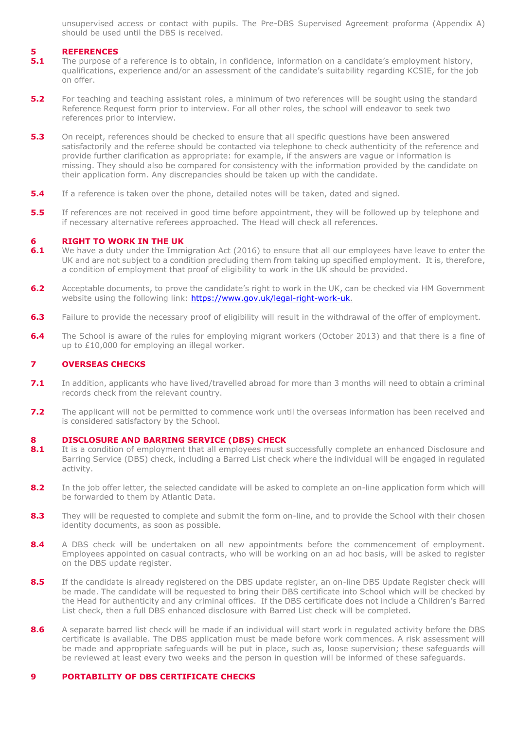unsupervised access or contact with pupils. The Pre-DBS Supervised Agreement proforma (Appendix A) should be used until the DBS is received.

# **5 REFERENCES**

- **5.1** The purpose of a reference is to obtain, in confidence, information on a candidate's employment history, qualifications, experience and/or an assessment of the candidate's suitability regarding KCSIE, for the job on offer.
- **5.2** For teaching and teaching assistant roles, a minimum of two references will be sought using the standard Reference Request form prior to interview. For all other roles, the school will endeavor to seek two references prior to interview.
- **5.3** On receipt, references should be checked to ensure that all specific questions have been answered satisfactorily and the referee should be contacted via telephone to check authenticity of the reference and provide further clarification as appropriate: for example, if the answers are vague or information is missing. They should also be compared for consistency with the information provided by the candidate on their application form. Any discrepancies should be taken up with the candidate.
- **5.4** If a reference is taken over the phone, detailed notes will be taken, dated and signed.
- **5.5** If references are not received in good time before appointment, they will be followed up by telephone and if necessary alternative referees approached. The Head will check all references.

#### **6 RIGHT TO WORK IN THE UK**

- **6.1** We have a duty under the Immigration Act (2016) to ensure that all our employees have leave to enter the UK and are not subject to a condition precluding them from taking up specified employment. It is, therefore, a condition of employment that proof of eligibility to work in the UK should be provided.
- **6.2** Acceptable documents, to prove the candidate's right to work in the UK, can be checked via HM Government website using the following link: [https://www.gov.uk/legal-right-work-uk.](https://www.gov.uk/legal-right-work-uk)
- **6.3** Failure to provide the necessary proof of eligibility will result in the withdrawal of the offer of employment.
- **6.4** The School is aware of the rules for employing migrant workers (October 2013) and that there is a fine of up to £10,000 for employing an illegal worker.

# **7 OVERSEAS CHECKS**

- **7.1** In addition, applicants who have lived/travelled abroad for more than 3 months will need to obtain a criminal records check from the relevant country.
- **7.2** The applicant will not be permitted to commence work until the overseas information has been received and is considered satisfactory by the School.

#### **8 DISCLOSURE AND BARRING SERVICE (DBS) CHECK**

- 8.1 It is a condition of employment that all employees must successfully complete an enhanced Disclosure and Barring Service (DBS) check, including a Barred List check where the individual will be engaged in regulated activity.
- 8.2 In the job offer letter, the selected candidate will be asked to complete an on-line application form which will be forwarded to them by Atlantic Data.
- 8.3 They will be requested to complete and submit the form on-line, and to provide the School with their chosen identity documents, as soon as possible.
- 8.4 A DBS check will be undertaken on all new appointments before the commencement of employment. Employees appointed on casual contracts, who will be working on an ad hoc basis, will be asked to register on the DBS update register.
- 8.5 If the candidate is already registered on the DBS update register, an on-line DBS Update Register check will be made. The candidate will be requested to bring their DBS certificate into School which will be checked by the Head for authenticity and any criminal offices. If the DBS certificate does not include a Children's Barred List check, then a full DBS enhanced disclosure with Barred List check will be completed.
- 8.6 A separate barred list check will be made if an individual will start work in regulated activity before the DBS certificate is available. The DBS application must be made before work commences. A risk assessment will be made and appropriate safeguards will be put in place, such as, loose supervision; these safeguards will be reviewed at least every two weeks and the person in question will be informed of these safeguards.

## **9 PORTABILITY OF DBS CERTIFICATE CHECKS**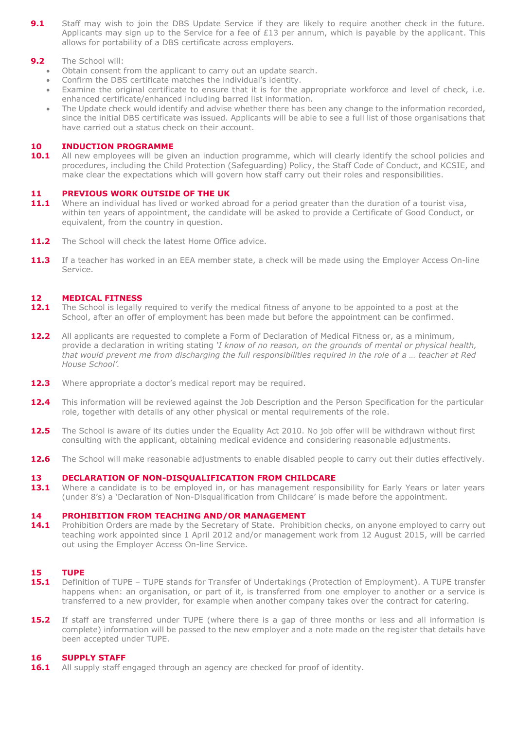**9.1** Staff may wish to join the DBS Update Service if they are likely to require another check in the future. Applicants may sign up to the Service for a fee of £13 per annum, which is payable by the applicant. This allows for portability of a DBS certificate across employers.

# **9.2** The School will:

- Obtain consent from the applicant to carry out an update search.
- Confirm the DBS certificate matches the individual's identity.
- Examine the original certificate to ensure that it is for the appropriate workforce and level of check, i.e. enhanced certificate/enhanced including barred list information.
- The Update check would identify and advise whether there has been any change to the information recorded, since the initial DBS certificate was issued. Applicants will be able to see a full list of those organisations that have carried out a status check on their account.

# **10 INDUCTION PROGRAMME**

10.1 All new employees will be given an induction programme, which will clearly identify the school policies and procedures, including the Child Protection (Safeguarding) Policy, the Staff Code of Conduct, and KCSIE, and make clear the expectations which will govern how staff carry out their roles and responsibilities.

### **11 PREVIOUS WORK OUTSIDE OF THE UK**

- 11.1 Where an individual has lived or worked abroad for a period greater than the duration of a tourist visa, within ten years of appointment, the candidate will be asked to provide a Certificate of Good Conduct, or equivalent, from the country in question.
- 11.2 The School will check the latest Home Office advice.
- 11.3 If a teacher has worked in an EEA member state, a check will be made using the Employer Access On-line Service.

### **12 MEDICAL FITNESS**

- **12.1** The School is legally required to verify the medical fitness of anyone to be appointed to a post at the School, after an offer of employment has been made but before the appointment can be confirmed.
- 12.2 All applicants are requested to complete a Form of Declaration of Medical Fitness or, as a minimum, provide a declaration in writing stating *'I know of no reason, on the grounds of mental or physical health, that would prevent me from discharging the full responsibilities required in the role of a … teacher at Red House School'.*
- 12.3 Where appropriate a doctor's medical report may be required.
- 12.4 This information will be reviewed against the Job Description and the Person Specification for the particular role, together with details of any other physical or mental requirements of the role.
- 12.5 The School is aware of its duties under the Equality Act 2010. No job offer will be withdrawn without first consulting with the applicant, obtaining medical evidence and considering reasonable adjustments.
- **12.6** The School will make reasonable adjustments to enable disabled people to carry out their duties effectively.

# **13 DECLARATION OF NON-DISQUALIFICATION FROM CHILDCARE**

13.1 Where a candidate is to be employed in, or has management responsibility for Early Years or later years (under 8's) a 'Declaration of Non-Disqualification from Childcare' is made before the appointment.

#### **14 PROHIBITION FROM TEACHING AND/OR MANAGEMENT**

14.1 Prohibition Orders are made by the Secretary of State. Prohibition checks, on anyone employed to carry out teaching work appointed since 1 April 2012 and/or management work from 12 August 2015, will be carried out using the Employer Access On-line Service.

# **15 TUPE**

- **15.1** Definition of TUPE TUPE stands for Transfer of Undertakings (Protection of Employment). A TUPE transfer happens when: an organisation, or part of it, is transferred from one employer to another or a service is transferred to a new provider, for example when another company takes over the contract for catering.
- **15.2** If staff are transferred under TUPE (where there is a gap of three months or less and all information is complete) information will be passed to the new employer and a note made on the register that details have been accepted under TUPE.

#### **16 SUPPLY STAFF**

**16.1** All supply staff engaged through an agency are checked for proof of identity.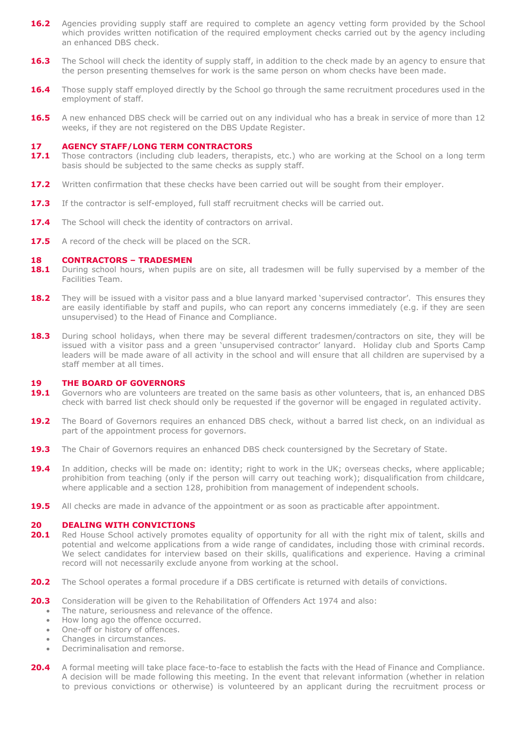- **16.2** Agencies providing supply staff are required to complete an agency vetting form provided by the School which provides written notification of the required employment checks carried out by the agency including an enhanced DBS check.
- **16.3** The School will check the identity of supply staff, in addition to the check made by an agency to ensure that the person presenting themselves for work is the same person on whom checks have been made.
- **16.4** Those supply staff employed directly by the School go through the same recruitment procedures used in the employment of staff.
- **16.5** A new enhanced DBS check will be carried out on any individual who has a break in service of more than 12 weeks, if they are not registered on the DBS Update Register.

#### **17 AGENCY STAFF/LONG TERM CONTRACTORS**

- **17.1** Those contractors (including club leaders, therapists, etc.) who are working at the School on a long term basis should be subjected to the same checks as supply staff.
- **17.2** Written confirmation that these checks have been carried out will be sought from their employer.
- **17.3** If the contractor is self-employed, full staff recruitment checks will be carried out.
- 17.4 The School will check the identity of contractors on arrival.
- **17.5** A record of the check will be placed on the SCR.

#### **18 CONTRACTORS – TRADESMEN**

- **18.1** During school hours, when pupils are on site, all tradesmen will be fully supervised by a member of the Facilities Team.
- **18.2** They will be issued with a visitor pass and a blue lanyard marked 'supervised contractor'. This ensures they are easily identifiable by staff and pupils, who can report any concerns immediately (e.g. if they are seen unsupervised) to the Head of Finance and Compliance.
- 18.3 During school holidays, when there may be several different tradesmen/contractors on site, they will be issued with a visitor pass and a green 'unsupervised contractor' lanyard. Holiday club and Sports Camp leaders will be made aware of all activity in the school and will ensure that all children are supervised by a staff member at all times.

#### **19 THE BOARD OF GOVERNORS**

- **19.1** Governors who are volunteers are treated on the same basis as other volunteers, that is, an enhanced DBS check with barred list check should only be requested if the governor will be engaged in regulated activity.
- **19.2** The Board of Governors requires an enhanced DBS check, without a barred list check, on an individual as part of the appointment process for governors.
- **19.3** The Chair of Governors requires an enhanced DBS check countersigned by the Secretary of State.
- **19.4** In addition, checks will be made on: identity; right to work in the UK; overseas checks, where applicable; prohibition from teaching (only if the person will carry out teaching work); disqualification from childcare, where applicable and a section 128, prohibition from management of independent schools.
- **19.5** All checks are made in advance of the appointment or as soon as practicable after appointment.

#### **20 DEALING WITH CONVICTIONS**

- 20.1 Red House School actively promotes equality of opportunity for all with the right mix of talent, skills and potential and welcome applications from a wide range of candidates, including those with criminal records. We select candidates for interview based on their skills, qualifications and experience. Having a criminal record will not necessarily exclude anyone from working at the school.
- **20.2** The School operates a formal procedure if a DBS certificate is returned with details of convictions.
- 20.3 Consideration will be given to the Rehabilitation of Offenders Act 1974 and also:
	- The nature, seriousness and relevance of the offence.
	- How long ago the offence occurred.
	- One-off or history of offences.
	- Changes in circumstances.
	- Decriminalisation and remorse.
- **20.4** A formal meeting will take place face-to-face to establish the facts with the Head of Finance and Compliance. A decision will be made following this meeting. In the event that relevant information (whether in relation to previous convictions or otherwise) is volunteered by an applicant during the recruitment process or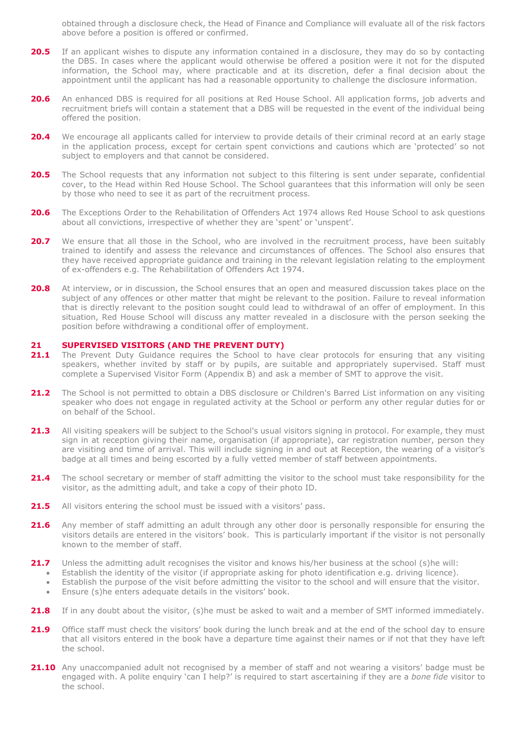obtained through a disclosure check, the Head of Finance and Compliance will evaluate all of the risk factors above before a position is offered or confirmed.

- **20.5** If an applicant wishes to dispute any information contained in a disclosure, they may do so by contacting the DBS. In cases where the applicant would otherwise be offered a position were it not for the disputed information, the School may, where practicable and at its discretion, defer a final decision about the appointment until the applicant has had a reasonable opportunity to challenge the disclosure information.
- **20.6** An enhanced DBS is required for all positions at Red House School. All application forms, job adverts and recruitment briefs will contain a statement that a DBS will be requested in the event of the individual being offered the position.
- **20.4** We encourage all applicants called for interview to provide details of their criminal record at an early stage in the application process, except for certain spent convictions and cautions which are 'protected' so not subject to employers and that cannot be considered.
- **20.5** The School requests that any information not subject to this filtering is sent under separate, confidential cover, to the Head within Red House School. The School guarantees that this information will only be seen by those who need to see it as part of the recruitment process.
- 20.6 The Exceptions Order to the Rehabilitation of Offenders Act 1974 allows Red House School to ask questions about all convictions, irrespective of whether they are 'spent' or 'unspent'.
- **20.7** We ensure that all those in the School, who are involved in the recruitment process, have been suitably trained to identify and assess the relevance and circumstances of offences. The School also ensures that they have received appropriate guidance and training in the relevant legislation relating to the employment of ex-offenders e.g. The Rehabilitation of Offenders Act 1974.
- **20.8** At interview, or in discussion, the School ensures that an open and measured discussion takes place on the subject of any offences or other matter that might be relevant to the position. Failure to reveal information that is directly relevant to the position sought could lead to withdrawal of an offer of employment. In this situation, Red House School will discuss any matter revealed in a disclosure with the person seeking the position before withdrawing a conditional offer of employment.

#### **21 SUPERVISED VISITORS (AND THE PREVENT DUTY)**

- **21.1** The Prevent Duty Guidance requires the School to have clear protocols for ensuring that any visiting speakers, whether invited by staff or by pupils, are suitable and appropriately supervised. Staff must complete a Supervised Visitor Form (Appendix B) and ask a member of SMT to approve the visit.
- 21.2 The School is not permitted to obtain a DBS disclosure or Children's Barred List information on any visiting speaker who does not engage in regulated activity at the School or perform any other regular duties for or on behalf of the School.
- **21.3** All visiting speakers will be subject to the School's usual visitors signing in protocol. For example, they must sign in at reception giving their name, organisation (if appropriate), car registration number, person they are visiting and time of arrival. This will include signing in and out at Reception, the wearing of a visitor's badge at all times and being escorted by a fully vetted member of staff between appointments.
- 21.4 The school secretary or member of staff admitting the visitor to the school must take responsibility for the visitor, as the admitting adult, and take a copy of their photo ID.
- 21.5 All visitors entering the school must be issued with a visitors' pass.
- **21.6** Any member of staff admitting an adult through any other door is personally responsible for ensuring the visitors details are entered in the visitors' book. This is particularly important if the visitor is not personally known to the member of staff.
- **21.7** Unless the admitting adult recognises the visitor and knows his/her business at the school (s)he will:
	- Establish the identity of the visitor (if appropriate asking for photo identification e.g. driving licence).
	- Establish the purpose of the visit before admitting the visitor to the school and will ensure that the visitor.
	- Ensure (s)he enters adequate details in the visitors' book.
- 21.8 If in any doubt about the visitor, (s)he must be asked to wait and a member of SMT informed immediately.
- 21.9 Office staff must check the visitors' book during the lunch break and at the end of the school day to ensure that all visitors entered in the book have a departure time against their names or if not that they have left the school.
- 21.10 Any unaccompanied adult not recognised by a member of staff and not wearing a visitors' badge must be engaged with. A polite enquiry 'can I help?' is required to start ascertaining if they are a *bone fide* visitor to the school.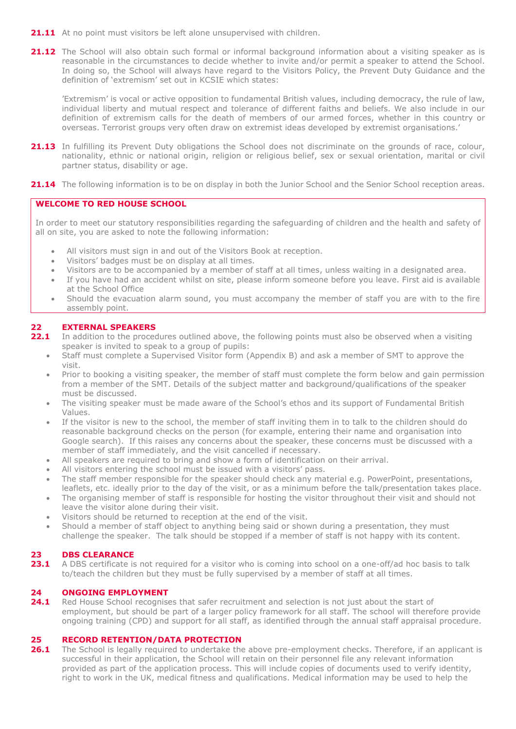- 21.11 At no point must visitors be left alone unsupervised with children.
- **21.12** The School will also obtain such formal or informal background information about a visiting speaker as is reasonable in the circumstances to decide whether to invite and/or permit a speaker to attend the School. In doing so, the School will always have regard to the Visitors Policy, the Prevent Duty Guidance and the definition of 'extremism' set out in KCSIE which states:

'Extremism' is vocal or active opposition to fundamental British values, including democracy, the rule of law, individual liberty and mutual respect and tolerance of different faiths and beliefs. We also include in our definition of extremism calls for the death of members of our armed forces, whether in this country or overseas. Terrorist groups very often draw on extremist ideas developed by extremist organisations.'

- 21.13 In fulfilling its Prevent Duty obligations the School does not discriminate on the grounds of race, colour, nationality, ethnic or national origin, religion or religious belief, sex or sexual orientation, marital or civil partner status, disability or age.
- 21.14 The following information is to be on display in both the Junior School and the Senior School reception areas.

# **WELCOME TO RED HOUSE SCHOOL**

In order to meet our statutory responsibilities regarding the safeguarding of children and the health and safety of all on site, you are asked to note the following information:

- All visitors must sign in and out of the Visitors Book at reception.
- Visitors' badges must be on display at all times.
- Visitors are to be accompanied by a member of staff at all times, unless waiting in a designated area.
- If you have had an accident whilst on site, please inform someone before you leave. First aid is available at the School Office
- Should the evacuation alarm sound, you must accompany the member of staff you are with to the fire assembly point.

# **22.1 EXTERNAL SPEAKERS**<br>**22.1** In addition to the proces

- **22.1** In addition to the procedures outlined above, the following points must also be observed when a visiting speaker is invited to speak to a group of pupils:
	- Staff must complete a Supervised Visitor form (Appendix B) and ask a member of SMT to approve the visit.
	- Prior to booking a visiting speaker, the member of staff must complete the form below and gain permission from a member of the SMT. Details of the subject matter and background/qualifications of the speaker must be discussed.
	- The visiting speaker must be made aware of the School's ethos and its support of Fundamental British Values.
	- If the visitor is new to the school, the member of staff inviting them in to talk to the children should do reasonable background checks on the person (for example, entering their name and organisation into Google search). If this raises any concerns about the speaker, these concerns must be discussed with a member of staff immediately, and the visit cancelled if necessary.
	- All speakers are required to bring and show a form of identification on their arrival.
	- All visitors entering the school must be issued with a visitors' pass.
	- The staff member responsible for the speaker should check any material e.g. PowerPoint, presentations,
	- leaflets, etc. ideally prior to the day of the visit, or as a minimum before the talk/presentation takes place. • The organising member of staff is responsible for hosting the visitor throughout their visit and should not leave the visitor alone during their visit.
	- Visitors should be returned to reception at the end of the visit.
	- Should a member of staff object to anything being said or shown during a presentation, they must challenge the speaker. The talk should be stopped if a member of staff is not happy with its content.

# **23 DBS CLEARANCE**

23.1 A DBS certificate is not required for a visitor who is coming into school on a one-off/ad hoc basis to talk to/teach the children but they must be fully supervised by a member of staff at all times.

# **24 ONGOING EMPLOYMENT**

24.1 Red House School recognises that safer recruitment and selection is not just about the start of employment, but should be part of a larger policy framework for all staff. The school will therefore provide ongoing training (CPD) and support for all staff, as identified through the annual staff appraisal procedure.

# **25 RECORD RETENTION/DATA PROTECTION**

26.1 The School is legally required to undertake the above pre-employment checks. Therefore, if an applicant is successful in their application, the School will retain on their personnel file any relevant information provided as part of the application process. This will include copies of documents used to verify identity, right to work in the UK, medical fitness and qualifications. Medical information may be used to help the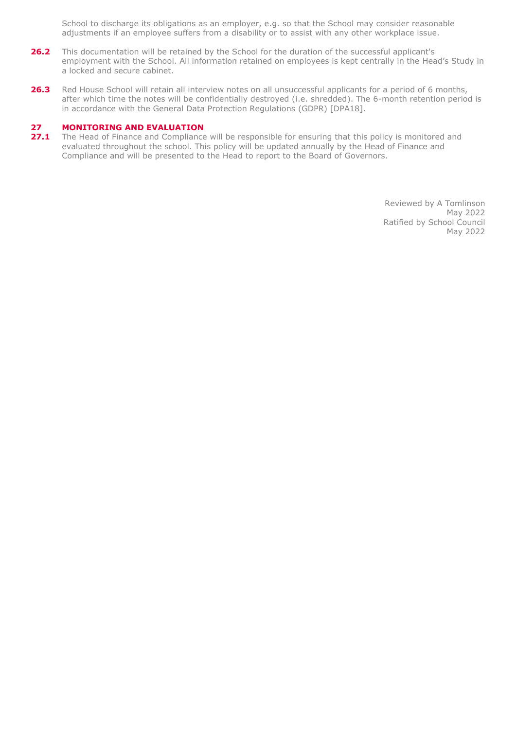School to discharge its obligations as an employer, e.g. so that the School may consider reasonable adjustments if an employee suffers from a disability or to assist with any other workplace issue.

- 26.2 This documentation will be retained by the School for the duration of the successful applicant's employment with the School. All information retained on employees is kept centrally in the Head's Study in a locked and secure cabinet.
- **26.3** Red House School will retain all interview notes on all unsuccessful applicants for a period of 6 months, after which time the notes will be confidentially destroyed (i.e. shredded). The 6-month retention period is in accordance with the General Data Protection Regulations (GDPR) [DPA18].

# **27 MONITORING AND EVALUATION**<br>**27.1** The Head of Finance and Compliance

**27.1** The Head of Finance and Compliance will be responsible for ensuring that this policy is monitored and evaluated throughout the school. This policy will be updated annually by the Head of Finance and Compliance and will be presented to the Head to report to the Board of Governors.

> Reviewed by A Tomlinson May 2022 Ratified by School Council May 2022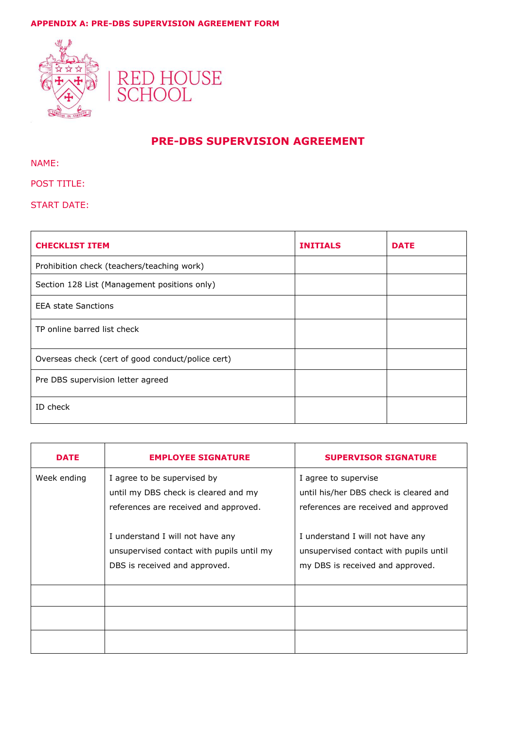# **APPENDIX A: PRE-DBS SUPERVISION AGREEMENT FORM**





# **PRE-DBS SUPERVISION AGREEMENT**

NAME:

# POST TITLE:

START DATE:

| <b>CHECKLIST ITEM</b>                             | <b>INITIALS</b> | <b>DATE</b> |
|---------------------------------------------------|-----------------|-------------|
| Prohibition check (teachers/teaching work)        |                 |             |
| Section 128 List (Management positions only)      |                 |             |
| <b>EEA state Sanctions</b>                        |                 |             |
| TP online barred list check                       |                 |             |
| Overseas check (cert of good conduct/police cert) |                 |             |
| Pre DBS supervision letter agreed                 |                 |             |
| ID check                                          |                 |             |

| <b>DATE</b> | <b>EMPLOYEE SIGNATURE</b>                                                                                      | <b>SUPERVISOR SIGNATURE</b>                                                                                    |
|-------------|----------------------------------------------------------------------------------------------------------------|----------------------------------------------------------------------------------------------------------------|
| Week ending | I agree to be supervised by<br>until my DBS check is cleared and my<br>references are received and approved.   | I agree to supervise<br>until his/her DBS check is cleared and<br>references are received and approved         |
|             | I understand I will not have any<br>unsupervised contact with pupils until my<br>DBS is received and approved. | I understand I will not have any<br>unsupervised contact with pupils until<br>my DBS is received and approved. |
|             |                                                                                                                |                                                                                                                |
|             |                                                                                                                |                                                                                                                |
|             |                                                                                                                |                                                                                                                |